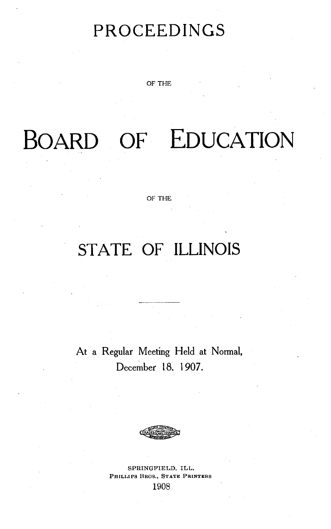# PROCEEDINGS

OF THE

# BOARD OF EDUCATION

OF THE

## STATE OF **ILLINOIS**

At a Regular Meeting Held at Normal, December 18. 1907.

SPRINGFIELD, ILL. **PHILLIPS BROS., STATE PRINTERS** 1908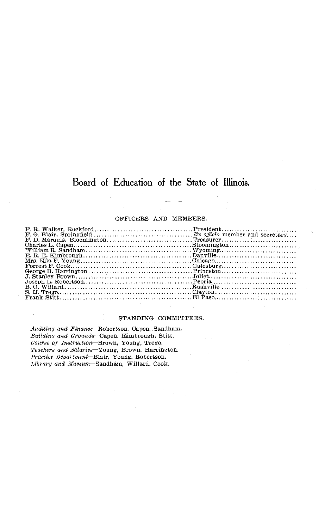## Board of Education of the State of Illinois.

#### OFFICERS AND MEMBERS.

#### STANDING COMMITTEES.

*Auditing and* Finance-Robertson, Capen, Sandham.  $Building$  and Grounds-Capen, Kimbrough, Stitt. *Course of Instruction-Brown,* Young, Trego. *Teachers and Salaries-Young,* Brown, Harrington. *Practice Department-Blair,* Young, Robertson. Library and Museum-Sandham, Willard, Cook.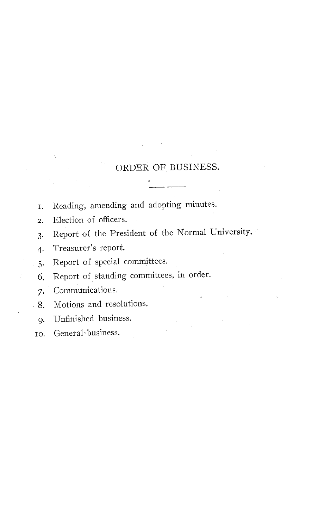## ORDER OF BUSINESS.

- **I.** Reading, amending and adopting minutes.
- 2. Election of officers.
- 3. Report of the President of the Normal University.
- 4. Treasurer's report.
- 5. Report of special committees.
- 6. Report of standing committees, in order.
- 7. Communications.
- 8. Motions and resolutions.
	- 9. Unfinished business.
- io. General-business.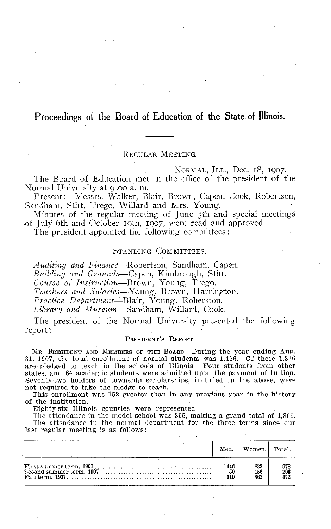## **Proceedings of the Board of Education of the State of Illinois.**

## REGULAR MEETING.

NORMAL, ILL., Dec. I8, I907.

The Board of Education met in the office of the president of the Normal University at 9:oo a. m.

Present: Messrs. Walker, Blair, Brown, Capen, Cook, Robertson, Sandham, Stitt, Trego, Willard and Mrs. Young.

Minutes of the regular meeting of June 5th and special meetings of July 6th and October 19th, 1907, were read and approved.

The president appointed the following committees:

### STANDING COMMITTEES.

*Auditing and Finance-Robertson,* Sandham, Capen. *Building and Grounds-Capen,* Kimbrough, Stitt. *Course of Instruction-Brown,* Young, Trego. *Teachers and Salaries-Young,* Brown, Harrington. *Practice Department-Blair,* Young, Roberston. *Library and Museum-Sandham,* Willard, Cook.

The president of the Normal University presented the following report:

#### PRESIDENT'S REPORT.

MR. PRESIDENT AND MEMBERS OF THE BOARD-During the year ending Aug. 31, 1907, the total enrollment of normal students was 1,466. Of these 1,326 are pledged to teach in the schools of Illinois. Four students from other states, and 64 academic students were admitted upon the payment of tuition. Seventy-two holders of township scholarships, included in the above, were not required to take the pledge to teach.

This enrollment was 152 greater than in any previous year in the history of the institution.

Eighty-six Illinois counties were represented.

The attendance in the model school was 395, making a grand total of 1,861. The attendance in the normal department for the three terms since our last regular meeting is as follows:

| Men.             | Women.            | Total.            |
|------------------|-------------------|-------------------|
| 146<br>50<br>110 | 832<br>156<br>362 | 978<br>206<br>472 |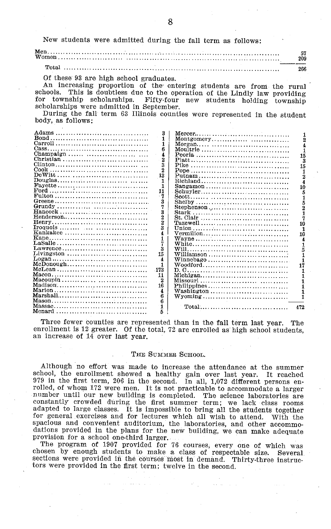New students were admitted during the fall term as follows:

|                                                                                                                                                                                                                                                                                   |                                                                                                                                                                                                       |                                                                                                                                                                                                                                                                                                         | 57<br>209                                                                                                                                                                                               |
|-----------------------------------------------------------------------------------------------------------------------------------------------------------------------------------------------------------------------------------------------------------------------------------|-------------------------------------------------------------------------------------------------------------------------------------------------------------------------------------------------------|---------------------------------------------------------------------------------------------------------------------------------------------------------------------------------------------------------------------------------------------------------------------------------------------------------|---------------------------------------------------------------------------------------------------------------------------------------------------------------------------------------------------------|
|                                                                                                                                                                                                                                                                                   |                                                                                                                                                                                                       |                                                                                                                                                                                                                                                                                                         | 266                                                                                                                                                                                                     |
| Of these 93 are high school graduates.<br>scholarships were admitted in September.<br>body, as follows:                                                                                                                                                                           |                                                                                                                                                                                                       | An increasing proportion of the entering students are from the rural<br>schools. This is doubtless due to the operation of the Lindly law providing<br>for township scholarships. Fifty-four new students holding township<br>During the fall term 63 Illinois counties were represented in the student |                                                                                                                                                                                                         |
| Champaign $\dots \dots \dots \dots \dots \dots \dots$<br>$\text{Henry} \dots \dots \dots \dots \dots \dots \dots \dots \dots \dots \dots \dots \dots$<br>Kankakee<br>Livingston<br>$Logan \ldots \ldots \ldots \ldots \ldots \ldots \ldots \ldots \ldots \ldots \ldots$<br>McLean | 3<br>1<br>1<br>6<br>4<br>2<br>3<br>$\overline{2}$<br>13<br>1<br>1<br>11<br>- 7<br>3<br>7<br>3<br>2<br>$\overline{2}$<br>3<br>4<br>1<br>7<br>3<br>15<br>4<br>1<br>-173<br>11<br>2<br>16<br>4<br>6<br>6 | Montgomery<br>Moultrie<br>Vermilion<br>Philippines<br>Washington<br>$Wyoming \ldots, \ldots, \ldots, \ldots, \ldots, \ldots, \ldots, \ldots,$                                                                                                                                                           | 1<br>2<br>4<br>1<br>15<br>3<br>15<br>1<br>$\overline{2}$<br>4<br>10<br>5<br>1<br>5<br>$\overline{2}$<br>$\mathbf{1}$<br>7<br>10<br>1<br>10<br>4<br>1<br>5<br>1<br>1<br>17<br>1<br>1<br>1<br>1<br>1<br>1 |
|                                                                                                                                                                                                                                                                                   | 1<br>5                                                                                                                                                                                                | Total                                                                                                                                                                                                                                                                                                   | 472                                                                                                                                                                                                     |

Three fewer counties are represented than in the fall term last year. The enrollment is 12 greater. Of the total, 72 are enrolled as high school students, an increase of 14 over last year.

#### THE SUMMER SCHOOL.

Although no effort was made to increase the attendance at the summer school, the enrollment showed a healthy gain over last year. It reached 979 in the first term, 206 in the second. In all, 1,072 different persons enrolled, of whom 172 were men. It is not practicable to accommodate a larger number until our new building is completed. The science laboratories are constantly crowded during the first summer term; we lack class rooms adap dations provided in the plans for the new building, we can make adequate provision for a school one-third larger.

The program of 1907 provided for 76 courses, every one of which was chosen by enough students to make a class of respectable size. Several sections were provided in the courses most in demand. Thirty-three instructors were provided in the first term; twelve in the second.

8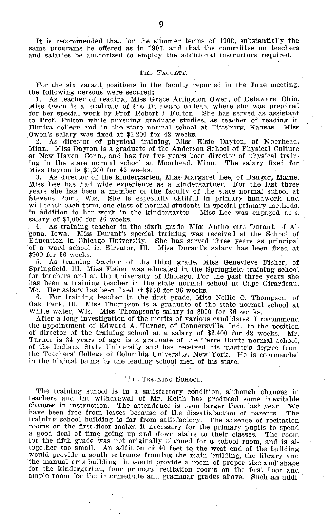#### THE FACULTY.

For the six vacant positions in the faculty reported in the June meeting, the following persons were secured:<br>1. As teacher of reading. Miss G

1. As teacher of reading, Miss Grace Arlington Owen, of Delaware, Ohio. Miss Owen is a graduate of the Delaware college, where she was prepared for her special work by Prof. Robert I. Fulton. She has served as assistant to Prof. Fulton while pursuing graduate studies, as teacher of reading in Elmira college and in the state normal school at Pittsburg, Kansas. Miss Owen's salary was fixed at \$1,200 for 42 weeks.<br>2. As director of physical training. Miss

2. As director of physical training, Miss Elsie Dayton, of Moorhead, Minn. Miss Dayton is a graduate of the Anderson School of Physical Culture at New Haven, Conn., and has for five years been director of physical train-<br>ing in the state normal school at Moorhead, Minn. The salary fixed for ing in the state normal school at Moorhead, Minn. Miss Dayton is \$1,200 for 42 weeks.

3. As director of the kindergarten, Miss Margaret Lee, of Bangor, Maine. Miss Lee has had wide experience as a kindergartner. For the last three years she has been a member of the faculty of the state normal school at Stevens Point, Wis. She is especially skillful in primary handwork and will teach each term, one class of normal students in special primary methods, in addition to her work in the kindergarten. Miss Lee was engaged at a salary of \$1,000 for 36 weeks.<br>4. As training teacher in the sixth grade. Miss Anthonette Durant of Al-

As training teacher in the sixth grade, Miss Anthonette Durant, of Algona, Iowa. Miss Durant's special training was received at the School of Education in Chicago University. She has served three years as principal of a ward school in Streator, Ill. Miss Durant's salary has been fixed at \$900 for 36 weeks.<br>5. As training

5. As training teacher of the third grade, Miss Genevieve Fisher, of Springfield, Ill. Miss Fisher was educated in the Springfield training school for teachers and at the University of Chicago. For the past three years she has been a training teacher in the state normal school at Cape Girardeau, Mo. Her salary has been fixed at \$950 for 36 weeks.

6. For training teacher in the first grade, Miss Nellie C. Thompson, of Oak Park, Ill. Miss Thompson is a graduate of the state normal school at White water, Wis. Miss Thompson's salary is \$900 for 36 weeks.

After a long investigation of the merits of various candidates, I recommend the appointment of Edward A. Turner, of Connersville, Ind., to the position of director of the training school at a salary of \$2,400 for 42 weeks. Mr. Turner is 34 years of age,' is a graduate of the Terre Haute normal school, of the Indiana State University and has received his master's degree from the Teachers' College of Columbia University, New York. He is commended in the highest terms by the leading school men of his state.

#### THE TRAINING SCHOOL.

The training school is in a satisfactory condition, although changes in teachers and the withdrawal of Mr. Keith has produced some inevitable changes in instruction. The attendance is even larger than last year. have been free from losses because of the dissatisfaction of parents. The training school building is far from satisfactory. The absence of recitation training school building is far from satisfactory. The absence of recitation<br>rooms on the first floor makes it necessary for the primary pupils to spend<br>a good deal of time going up and down stairs to their classes. The ro together too small. An addition of 40 feet to the west end of the building would provide a south entrance fronting the main building, the library and the manual arts building; it would provide a room of proper size and' shape for the kindergarten, four primary recitation rooms on the first floor and ample room for the intermediate and grammar grades above. Such an addi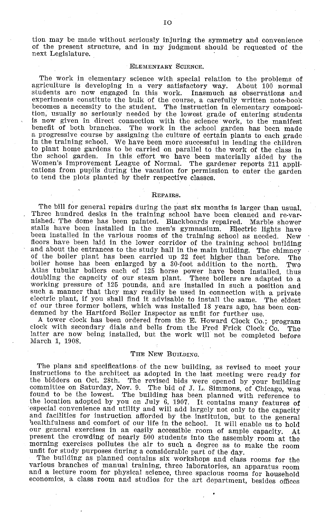tion may be made without seriously injuring the symmetry and convenience of the present structure, and in my judgment should be requested of the next Legislature.

#### ELEMENTARY SCIENCE.

The work in elementary science with special relation to the problems of agriculture is developing in a very satisfactory way. About 100 normal students are now engaged in this work. experiments constitute the bulk of the course, a carefully written note-book<br>becomes a necessity to the student. The instruction in elementary composibecomes a necessity to the student. The instruction in elementary composition, usually so seriously needed by the lowest grade of entering students is now given in direct connection with the science work, to the manifest benefit of both branches. The work in the school garden has been made a progressive course by assigning the culture of certain plants to each grade in the training school. We have been more successful in leading the children to plant home gardens to be carried on parallel to the work of the class in the school garden. In this effort we have been materially aided by the Women's Improvement League of Normal. The gardener reports 211 appli-<br>cations from pupils during the vacation for permission to enter the garden to tend the plots planted by their respective classes.

#### **REPAIRS.**

The bill for general repairs during the past six months is larger than usual. Three hundred desks in the training school have been cleaned and re-var- nished. The dome has been painted. Blackboards repaired. Marble shower stalls have been installed in the men's gymnasium. Electric lights have been installed in the various rooms of the training school as needed. New floors have been laid in the lower corridor of the training school building and about the entrances to the study hall in the main building. The chimney of the boiler plant has been carried up 22 feet higher than before. The boiler house has been enlarged by a 30-foot addition to the north. Two Atlas tubular boilers each of 125 horse power have been installed, thus doubling the capacity of our steam plant. These boilers are adapted to a working pressure of 125 pounds, and are installed in such a position and working pressure of 125 pounds, and are installed in such a position and such a manner that they may readily be used in connection with a private electric plant, if you shall find it advisable to install the same. The elde

demned by the Hartford Boiler Inspector as unfit for further use.<br>A tower clock has been ordered from the E. Howard Clock Co.; program clock with secondary dials and bells from the Fred Frick Clock Co. The latter are now being installed, but the work will not be completed before March 1, 1908.

#### THE NEW BUILDING.

The plans and specifications of the new building, as revised to meet your instructions to the architect as adopted in the last meeting were ready for the bidders on Oct. 28th. The revised bids were opened by your building<br>committee on Saturday, Nov. 9. The bid of J. L. Simmons, of Chicago, was<br>found to be the lowest. The building has been planned with reference to<br>the l especial convenience and utility and will add largely not only to the capacity<br>and facilities for instruction afforded by the instituion, but to the general<br>bealthfulness and comfort of our life in the school. It will enab present the crowding of nearly accessible room of ample capacity. At present the crowding of nearly 500 students into the assembly room at the morning exercises pollutes the air to such a degree as to make the room unfit for study purposes during a considerable part of the day. The building as planned contains six workshops and class rooms for the

various branches of manual training, three laboratories, an apparatus room and a lecture room for physical science, three spacious rooms for household economics, a class room and studios for the art department, besides offices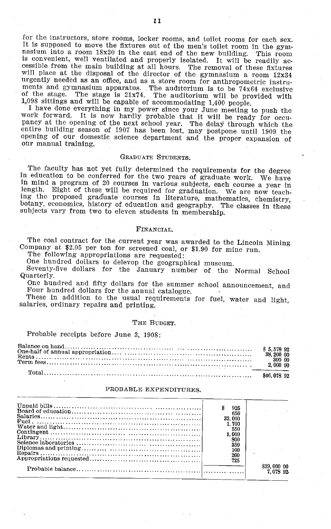for the instructors, store rooms, locker rooms, and toilet rooms for each sex.<br>It is supposed to move the fixtures out of the men's toilet room in the gymnasium into a room 18x20 in the east end of the new building. This r urgently needed as an office, and as a store room for anthropometric instruments and gymnasium apparatus. The auditorium is to be 74x64 exclusive<br>of the stage. The stage is 21x74. The auditorium will be provided with

I have done everything in my power since your June meeting to push the work forward. It is now hardly probable that it will be ready for occuwork forward. It is now hardly probable that it will be ready for occu-<br>pancy at the opening of the next school year. The delay through which the<br>matical distribution of the next school year. The delay through which the entire building season of 1907 has been lost, may postpone until 1909 the opening of our domestic science department and the proper expansion of our manual training.

#### GRADUATE STUDENTS.

The faculty has not yet fully determined the requirements for the degree in education to be conferred for the two years of graduate work. We have in mind a program of 20 courses in various subjects, each course a year in length. Eight of these will be required for graduation. We are now teaching the proposed graduate courses in literature, mathematics, chemistry, botany, economics, history of education and geography. The classes in these subjects vary from two to eleven students in membership.

#### FINANCIAL.

The coal contract for the current year was awarded to the Lincoln Mining<br>Company at \$2.05 per ton for screened coal, or \$1.90 for mine run.<br>The following appropriations are requested:<br>One hundred dollars to delevop the geo

One hundred and fifty dollars for the summer school announcement, and Four hundred dollars for the annual catalogue.

These in addition to the usual requirements for fuel, water and light, salaries, ordinary repairs and printing.

#### THE BUDGET.

Probable receipts before June 3, 1908:

| 38, 200 00<br>300 00 |
|----------------------|
| 2,000 00             |
| \$46,078,92          |

#### PROBABLE EXPENDITURES.

|                                                                            | 925    |             |
|----------------------------------------------------------------------------|--------|-------------|
|                                                                            | 650    |             |
|                                                                            | 32,000 |             |
|                                                                            | 1.700  |             |
|                                                                            | 550    |             |
|                                                                            | 1.000  |             |
|                                                                            | 800    |             |
|                                                                            | 350    |             |
|                                                                            | 100    |             |
|                                                                            | 200    |             |
|                                                                            | 725    |             |
|                                                                            |        | \$39,000 00 |
|                                                                            |        | 7 078 92    |
| the control of the control of the control of the control of the control of |        |             |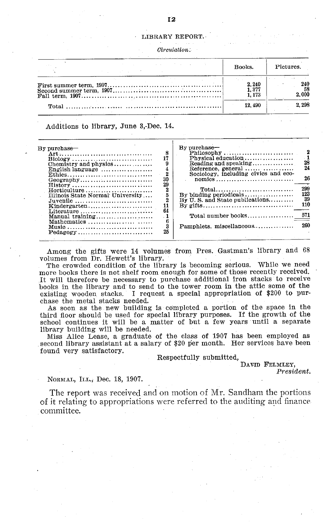#### LIBRARY REPORT.

| the control of the control of the control of the | the state of the company of the state of the state of the state of the state of the state of the state of the | Books.                  | Pictures.    |
|--------------------------------------------------|---------------------------------------------------------------------------------------------------------------|-------------------------|--------------|
|                                                  |                                                                                                               | 2.240<br>1.377<br>1.173 | 240<br>2.000 |
|                                                  |                                                                                                               | 12.490                  | 2.298        |

Additions to library, June 3,-Dec. 14.

| $Bv$ purchase—<br>8<br>$\text{Biology} \dots \dots \dots \dots \dots \dots \dots \dots \dots$<br>English language $\dots\dots\dots\dots\dots\dots$<br>4<br>$\overline{2}$<br>Ethics<br>30<br>$Geography \ldots \ldots \ldots \ldots \ldots \ldots \ldots \ldots$<br>29<br>$History \ldots \ldots \ldots \ldots \ldots \ldots \ldots \ldots \ldots$<br>2<br>Horticulture<br>5<br>Illinois State Normal University<br>Juvenile<br>11<br>$Kindergarten \ldots \ldots \ldots \ldots \ldots \ldots$<br>64<br>Literature<br>Manual training<br>В<br>Mathematics<br>3<br>Music<br>25<br>$\text{Pedagogy}$ | By purchase-<br>- 2<br>28<br>$\rm Reading$ and $\rm speaking$<br>24<br>Reference, general $, \dots$<br>Sociology, including civics and eco-<br>26<br>299<br>$\text{Total} \dots \dots \dots \dots \dots \dots \dots \dots \dots \dots$<br>123<br>39<br>By $U$ . S. and State publications<br>110<br>571<br>Total number books<br>260<br>Pamphlets, miscellaneous |
|----------------------------------------------------------------------------------------------------------------------------------------------------------------------------------------------------------------------------------------------------------------------------------------------------------------------------------------------------------------------------------------------------------------------------------------------------------------------------------------------------------------------------------------------------------------------------------------------------|------------------------------------------------------------------------------------------------------------------------------------------------------------------------------------------------------------------------------------------------------------------------------------------------------------------------------------------------------------------|
|                                                                                                                                                                                                                                                                                                                                                                                                                                                                                                                                                                                                    |                                                                                                                                                                                                                                                                                                                                                                  |

Among the gifts were 14 volumes from Pres. Gastman's library and 68 volumes from Dr. Hewett's library.

The crowded condition of the library is becoming serious. While we need more books there is not shelf room enough for some of those recently received. It will therefore be necessary to purchase additional iron stacks to receive books in the library and to send to the tower room in the attic some of the existing wooden stacks. I request a special appropriation of \$200 to pur-I request a special appropriation of \$200 to purchase the metal stacks needed.

As soon as the new building is completed a portion of the space in the third floor should be used for special library purposes. If the growth of the school continues it will be a matter of but a few years until a separate library building will be needed.

Miss Alice Lease, a graduate of the class of 1907 has been employed as second library assistant at a salary of \$20 per month. Her services have been found very satisfactory.

#### Respectfully submitted,

DAVID FELMLEY,

*President.*

#### NORMAL, ILL., Dec. 18, 1907.

The report was received and on motion of Mr. Sandham the portions of it relating to appropriations were referred to the auditing and finance committee.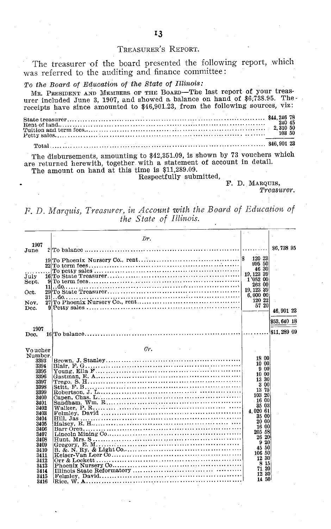## TREASURER'S REPORT.

The treasurer of the board presented the following report, which was referred to the auditing and finance committee:

*To the Board of Education of the State of Illinois:*

MR. PRESIDENT AND MEMBERS OF THE BOARD-The last report of your treasurer included June 3, 1907, and showed a balance on hand of \$6,738.95. Thereceipts have since amounted to \$46,901.23, from the following sources, viz: State treasurer ............................................................. \$44,246 78 Rent of land................................ ............. ................................ 240 45 Tuition and term fees.............................. ................... 2, 310 50 Petty sales... ................ .............. ............. ...... \*\*\* ......... 103 5...00. Total. ....... .................. .................... \$46,901 23

The disbursements, amounting to \$42,351.09, is shown by 73 vouchers which are returned herewith, together with a statement of account in detail. The amount on hand at this time is \$11,289.09.

Respectfully submitted,

F. D. MARQUIS,

*Treasurer.*

*F. D. Marquis, Treasurer, in Account with the Board of Education of the State of Illinois.*

|              | Dr.                             |                    |             |
|--------------|---------------------------------|--------------------|-------------|
| 1907         |                                 |                    |             |
| June         | $2 T_0$ balance $\ldots \ldots$ |                    | \$6,738.95  |
|              |                                 | 120 23<br>995 50   |             |
|              |                                 | 46 30              |             |
| July         |                                 | 19, 123 39         |             |
| Sept.        |                                 | 1'052 00<br>263 00 |             |
| 11           |                                 | 19, 123 39         |             |
| Oct.         |                                 | 6,00000            |             |
| 31           | $\ldots$ do. .                  | 120 22             |             |
| Nov.<br>Dec. |                                 | 57 20              |             |
|              |                                 |                    | 46, 901 23  |
|              |                                 |                    | \$53,640 18 |
| 1907         |                                 |                    |             |
| Dec.         |                                 |                    | \$11,289 09 |
|              |                                 |                    |             |
|              |                                 |                    |             |
| Voucher      | Cr.                             |                    |             |
| Number.      |                                 | 18 00              |             |
| 3393<br>3394 | Blair, F. G.                    | 10 00              |             |
| 3395         |                                 | 900                |             |
| 3396         |                                 | 10 00              |             |
| 3397         |                                 | 13 30              |             |
| 3398         |                                 | 3 00<br>13 75      |             |
| 3399         |                                 | 103 20             |             |
| 3400         |                                 | $-1600$            |             |
| 3401<br>3402 | Walker, P. R.                   | 35 03              |             |
| 3403         |                                 | 4.020 61           |             |
| 3404         |                                 | 35 00              |             |
| 3405         |                                 | 20 00              |             |
| 3406         |                                 | 16 00<br>205 58    |             |
| 3407         |                                 | 26 20              |             |
| 3408         |                                 | 20<br>9            |             |
| 3409<br>3410 |                                 | 45 50              |             |
| 3411         |                                 | 106 50             |             |
| 3412         |                                 | 12 30              |             |
| 3413         |                                 | 8 15               |             |
| 3414         |                                 | 71 20              |             |
| 3415         |                                 | 12 30<br>14 50     |             |
| 3416         |                                 |                    |             |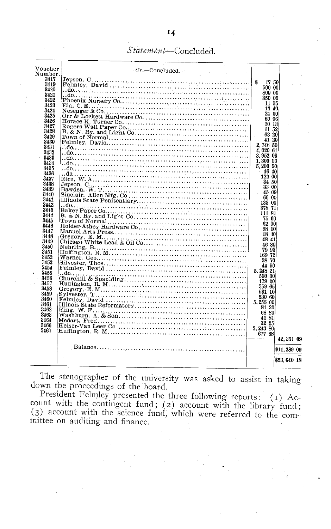## Statement-Concluded.

| $\rm Voucher$ |                            |             |             |  |
|---------------|----------------------------|-------------|-------------|--|
| Number.       | $Cr.$ Concluded.           |             |             |  |
|               |                            |             |             |  |
| 3417          |                            | \$<br>17 50 |             |  |
| 3419          |                            | 500 00      |             |  |
| 3420          |                            | 800 00      |             |  |
| 3421          |                            |             |             |  |
| 3422          |                            | 350 00      |             |  |
| 3423          |                            | 11 35       |             |  |
| 3424          |                            | 12 40       |             |  |
| 3425          |                            | 24 00       |             |  |
|               | Orr & Lockett Hardware Co. | 60 06       |             |  |
| 3426          |                            | 10 13       |             |  |
| 3427          |                            |             |             |  |
| 3428          |                            | 11 52       |             |  |
| 3429          |                            | 63 20       |             |  |
| 3430          |                            | 41 20       |             |  |
| 3431          |                            | 2,746 50    |             |  |
|               |                            | 4,020 61    |             |  |
| 3432          |                            | 3.952.03    |             |  |
| 3433          |                            |             |             |  |
| 3434          |                            | 1.300 00    |             |  |
| 3435          |                            | 5.200 00    |             |  |
| 3436          |                            | 46 40       |             |  |
| 3437          |                            | 122 00      |             |  |
|               |                            | 34 50       |             |  |
| 3438          |                            | 33 00       |             |  |
| 3439          |                            |             |             |  |
| 3440          |                            | 45 09       |             |  |
| 3441          |                            | 60.00       |             |  |
| 3442          |                            | 133 00      |             |  |
| 3443          |                            | 378 71      |             |  |
|               |                            | 111 81      |             |  |
| 3444          |                            | 75 60       |             |  |
| 3445          |                            | 62 00       |             |  |
| 3446          |                            |             |             |  |
| 3447          |                            | 98 10       |             |  |
| 3448          |                            | 18 30       |             |  |
| 3449          |                            | 48 41       |             |  |
| 3450          |                            | 46 80       |             |  |
|               |                            | 79 93       |             |  |
| 3451          |                            | 169 72      |             |  |
| 3452          |                            | 38 70       |             |  |
| 3453          |                            |             |             |  |
| 3454          |                            | 44 90       |             |  |
| 3455          |                            | 5.248 21    |             |  |
| 3456          |                            | 500 00      |             |  |
|               |                            | 179 20      |             |  |
| 3457          | Huffington, R. M.          | 359 65      |             |  |
| 3458          |                            | 531 10      |             |  |
| 3459          |                            | 530 60      |             |  |
| 3460          |                            |             |             |  |
| 3461          |                            | 5.255 00    |             |  |
| 3462          |                            | 81 20       |             |  |
| 3463          |                            | 68 80       |             |  |
|               |                            | 41 81       |             |  |
| 3464          |                            | 32 25       |             |  |
| 3466          |                            | 3,243 80    |             |  |
| 3467          |                            |             |             |  |
|               |                            | 677 68      |             |  |
|               |                            |             | 42, 351 09  |  |
|               |                            |             |             |  |
|               |                            |             | \$11,289 09 |  |
|               |                            |             |             |  |
|               |                            |             | 853.640 18  |  |
|               |                            |             |             |  |
|               |                            |             |             |  |

The stenographer of the university was asked to assist in taking down the proceedings of the board.

President Felmley presented the three following reports: (1) Account with the contingent fund; (2) account with the library fund; (3) account with the science fund, which were referred to the committee on auditing and finance.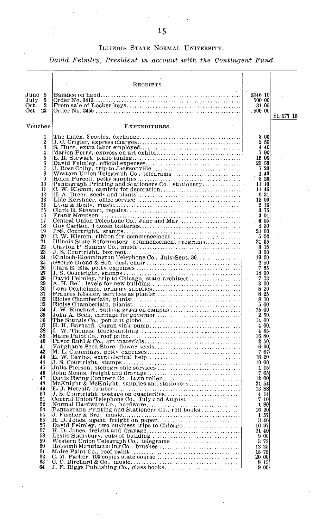## ILLINOIS STATE NORMAL UNIVERSITY.

*David Felmley, President in account with the Contingent Fund.*

|                      |                      | RECEIPTS.     |                                                  |            |
|----------------------|----------------------|---------------|--------------------------------------------------|------------|
|                      |                      |               |                                                  |            |
| June                 | 5                    |               | \$146 10                                         |            |
| July                 | 5                    |               | 500 00                                           |            |
| Oct.<br>$_{\rm Oct}$ | $\overline{2}$<br>23 |               | 31 05<br>$-50000$                                |            |
|                      |                      |               |                                                  | \$1,177 15 |
|                      |                      |               |                                                  |            |
| Voucher              |                      | EXPENDITURES. |                                                  |            |
|                      | 1                    |               | 3 00                                             |            |
|                      | $\overline{2}$       |               | 2 50                                             |            |
|                      | 5                    |               | 440                                              |            |
|                      | 4                    |               | 7.90<br>15 00                                    |            |
|                      | 5<br>6               |               | 23 59                                            |            |
|                      | 7                    |               | 7 20                                             |            |
|                      | 8                    |               | 143                                              |            |
|                      | 9                    |               | 3 25                                             |            |
|                      | 10<br>11             |               | 11 10<br>11 46                                   |            |
|                      | 12                   |               | 6 31<br>$\bar{z}$                                |            |
|                      | 13                   |               | 13 00                                            |            |
|                      | 14<br>15             |               | $\begin{smallmatrix}2&16\\3&75\end{smallmatrix}$ |            |
|                      | 16                   |               | 3 01                                             |            |
|                      | 17                   |               | 6 05                                             |            |
|                      | 18                   |               | 4 30                                             |            |
|                      | 19<br>20             |               | 21 00                                            |            |
|                      | 21                   |               | 5 02<br>21 35                                    |            |
|                      | 22                   |               | 315                                              |            |
|                      | 23                   |               | 300                                              |            |
|                      | 24<br>25             |               | 19 00                                            |            |
|                      | 26                   |               | 2 50<br>7 55                                     |            |
|                      | 27                   |               | 14 00                                            |            |
|                      | 28                   |               | $\begin{array}{c} 7\ 73 \\ 3\ 00 \end{array}$    |            |
|                      | $\frac{29}{30}$      |               |                                                  |            |
|                      | 31                   |               | $\frac{8}{8} \frac{20}{25}$<br>8.70              |            |
|                      | 32                   |               |                                                  |            |
|                      | 33                   |               | 5 00                                             |            |
|                      | 34<br>35             |               | $\bar{\nu}$<br>15 00<br>2 50                     |            |
|                      | 36                   |               | 14 00                                            |            |
|                      | 37                   |               | 4 00                                             |            |
|                      | 38                   |               | 4 35                                             |            |
|                      | -39<br>40            |               | 16 80<br>2 50                                    |            |
|                      | 41                   |               | 6 90                                             |            |
|                      | 42                   |               | 767                                              |            |
|                      | 43                   |               | 18 20                                            |            |
|                      | 44<br>45             |               | 10 00<br>1 15                                    |            |
|                      | 46                   |               | 765                                              |            |
|                      | 47                   |               | 12 00                                            |            |
|                      | 48<br>49             |               | 21 54                                            |            |
|                      | 50                   |               | 1388<br>4 14                                     |            |
|                      | 51                   |               | 710                                              |            |
|                      | 52                   |               | 1 80                                             |            |
|                      | 58<br>54             |               | 16 20                                            |            |
|                      | 55                   |               | 1 57<br>3 46                                     |            |
|                      | 56                   |               | 16 97                                            |            |
|                      | 57                   |               | 21 40                                            |            |
|                      | 58<br>59             |               | 900<br>$-372$                                    |            |
|                      | 60                   |               | 12 25                                            |            |
|                      | 61                   |               | 15 75                                            |            |
|                      | 62                   |               | 20 00                                            |            |
|                      | 63<br>64             |               | 8 15<br>9 00                                     |            |
|                      |                      |               |                                                  |            |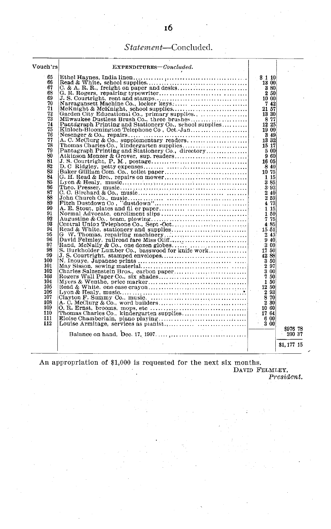## *Statement-Concluded.*

| Vouch'rs | EXPENDITURES-Concluded.                                                                                |                                    |            |
|----------|--------------------------------------------------------------------------------------------------------|------------------------------------|------------|
| 65       |                                                                                                        | \$110                              |            |
| 66       |                                                                                                        | 13 00                              |            |
| 67       |                                                                                                        | 8 80                               |            |
| 68       |                                                                                                        | 2 50                               |            |
| 69       |                                                                                                        | 10 00                              |            |
| 70       |                                                                                                        | 742                                |            |
| 71       |                                                                                                        | 21 57                              |            |
| 72       |                                                                                                        | 13 30                              |            |
| 73       |                                                                                                        | 877                                |            |
| 74       | Pantagraph Printing and Stationery Co., school supplies                                                | 12 25                              |            |
| 75       | Kinloch-Bloomington Telephone Co, Oct.-Jan $\ldots$ , $\ldots$ , $\ldots$                              | 19 00                              |            |
| 76<br>77 |                                                                                                        | -349<br>÷.<br>13 32                |            |
| 78       |                                                                                                        | 15 17                              |            |
| 79       | Pantagraph Printing and Stationery Co., directory                                                      | -5-001                             |            |
| 80       |                                                                                                        | 960                                |            |
| 81       |                                                                                                        | 16 05                              |            |
| 82       |                                                                                                        | -840                               |            |
| 83       |                                                                                                        | 10 75                              |            |
| 84       | $G. H. Read & Bro., repairs on movement, , , , , , ,$                                                  | 1 15                               |            |
| 85       |                                                                                                        | 385                                |            |
| 86       |                                                                                                        | 3.93                               |            |
| 87       |                                                                                                        | 2 40                               |            |
| 88       |                                                                                                        | 2 59                               |            |
| 89       |                                                                                                        | 4 73                               |            |
| 90       |                                                                                                        | $-115$                             |            |
| 91       |                                                                                                        | $1-50$                             |            |
| 92       |                                                                                                        | 775                                |            |
| 93       |                                                                                                        | 4.85                               |            |
| 94       |                                                                                                        | $15-51$                            |            |
| 95       |                                                                                                        | 245                                |            |
| 96       |                                                                                                        | 940                                |            |
| 97       |                                                                                                        | $-300$<br>$\mathcal{L}_{\rm{max}}$ |            |
| 98<br>99 | S. Burkholder Lumber Co., basswood for knife work                                                      | 17 50                              |            |
| 100      |                                                                                                        | 42 88                              |            |
| 101      | N. Inouye, Japanese prints $\ldots$ $\ldots$ $\ldots$ $\ldots$ $\ldots$ $\ldots$ $\ldots$ $\ldots$     | 350<br>$-2.97$                     |            |
| 102      |                                                                                                        | 3 00                               |            |
| - 103    |                                                                                                        | 750                                |            |
| 104      |                                                                                                        | 1 50                               |            |
| 105      |                                                                                                        | 12 50                              |            |
| 106      |                                                                                                        | 2 93                               |            |
| 107      |                                                                                                        | 8 70                               |            |
| 108      |                                                                                                        | 2 30                               |            |
| 109      | $O. R. Ernst, brooms, mops, etc \ldots \ldots \ldots \ldots \ldots \ldots \ldots \ldots \ldots \ldots$ | 10 60                              |            |
| 110      |                                                                                                        | 1764                               |            |
| 111      |                                                                                                        | 6 00                               |            |
| 112      |                                                                                                        | 3 00                               |            |
|          |                                                                                                        |                                    | \$976 78   |
|          |                                                                                                        |                                    | 200 37     |
|          |                                                                                                        |                                    | \$1,177 15 |
|          |                                                                                                        |                                    |            |
|          |                                                                                                        |                                    |            |

An appropriation of \$1,000 is requested for the next six months. DAVID FELMLEY, *President.*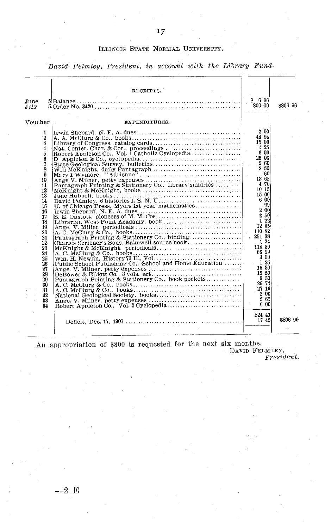### ILLINOIS STATE NORMAL UNIVERSITY.

*David Felmley, President, in account with the Library Fund.*

|                                                                                                                                                                                                              | RECEIPTS.                                                                                                                                                                                                                                                                   |                                                                                                                                                                                                                                                                                                  |          |
|--------------------------------------------------------------------------------------------------------------------------------------------------------------------------------------------------------------|-----------------------------------------------------------------------------------------------------------------------------------------------------------------------------------------------------------------------------------------------------------------------------|--------------------------------------------------------------------------------------------------------------------------------------------------------------------------------------------------------------------------------------------------------------------------------------------------|----------|
| $_{\texttt{June}}$<br>July                                                                                                                                                                                   |                                                                                                                                                                                                                                                                             | \$6.96<br>800 00                                                                                                                                                                                                                                                                                 | \$806 96 |
| Voucher                                                                                                                                                                                                      | EXPENDITURES.                                                                                                                                                                                                                                                               |                                                                                                                                                                                                                                                                                                  |          |
| 1<br>$\overline{2}$<br>3<br>4<br>5<br>6<br>7<br>8<br>9<br>10<br>11<br>12<br>13<br>14<br>15<br>16<br>17<br>18<br>19<br>20<br>21<br>22<br>23<br>24<br>25<br>26<br>27<br>28<br>29<br>30<br>31<br>32<br>33<br>34 | Pantagraph Printing & Stationery Co., library sundries<br>U. of Chicago Press, Myers 1st year mathematics<br>Charles Scribner's Sons, Bakewell source book<br>Public School Publishing Co., School and Home Education<br>Pantagraph Printing & Stationery Co., book pockets | 2 00<br>44 94<br>15 00<br>1 25<br>600<br>25 00<br>2 60<br>in 1<br>2 50<br>60<br>13 68<br>4 70<br>10 15<br>15 00<br>6 00<br>99<br>2 00<br>2,50<br>1 22<br>12 35<br>110 82<br>251 38<br>1 34<br>114 30<br>66 99<br>3 00<br>$-125$<br>15 30<br>15 50<br>950<br>25 74<br>27 16<br>2 00<br>565<br>600 |          |
|                                                                                                                                                                                                              |                                                                                                                                                                                                                                                                             | 824 41<br>1745                                                                                                                                                                                                                                                                                   | \$806 99 |

An appropriation of \$800 is requested for the next six months.

DAVID FELMLEY, *President.*

**-- 2 E**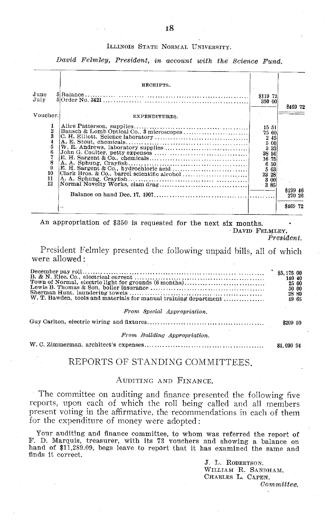## ILLINOIS STATE NORMAL UNIVERSITY.

*David Felmley, President, in account with the Science Fund.*

| June<br>July                                                  | RECEIPTS.            | \$119 72<br>350 00                                                                                 |                    |
|---------------------------------------------------------------|----------------------|----------------------------------------------------------------------------------------------------|--------------------|
| Voucher.                                                      | <b>EXPENDITURES.</b> |                                                                                                    | 8469 72            |
| 2<br>3<br>4<br>5<br>6<br>$\frac{7}{8}$<br>9<br>10<br>11<br>12 |                      | 15 51<br>75 60<br>2 45<br>5 00<br>3 3 3<br>38 56<br>16 75<br>6 50<br>5 63<br>23 28<br>300<br>- 385 | \$199 46<br>270 26 |
|                                                               |                      |                                                                                                    | \$469 72           |

An appropriation of \$350 is requested for the next six months.

DAVID FELMLEY, *President.*

President Felmley presented the following unpaid bills, all of which were allowed:

| Town of Normal, electric light for grounds (6 months)<br>W. T. Bawden, tools and materials for manual training department |            |  |  |  |
|---------------------------------------------------------------------------------------------------------------------------|------------|--|--|--|
| From Special Appropriation.                                                                                               |            |  |  |  |
|                                                                                                                           |            |  |  |  |
| From Building Appropriation.                                                                                              |            |  |  |  |
|                                                                                                                           | \$1,030 94 |  |  |  |

## REPORTS OF STANDING COMMITTEES.

## AUDITING AND FINANCE.

The committee on auditing and finance presented the following five reports, upon each of which the roll being called and all members present voting in the affirmative, the recommendations in each of them for the expenditure of money were adopted:

Your auditing and finance committee, to whom was referred the report of F. D. Marquis, treasurer, with its 73 vouchers and showing a balance on hand of \$11,289.09, begs leave to report that it has examined the same and hand of \$11,289.09, begs leave to report that it has examined the same and finds it correct.

> J. L. ROBERTSON, WILLIAM R. SANDHAM, CHARLES L. CAPEN,

*Committee.*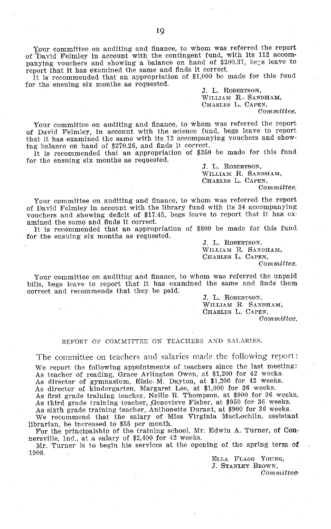Your committee on auditing and finance, to whom was referred the report of 'David Felmley in account with the contingent fund, with its 112 accompanying vouchers and showing a balance on hand of \$200.37, bers leave to report that it has examined the same and finds it correct.

It is recommended that an appropriation of \$1,000 be made for this fund for the ensuing six months as requested.

J. L. ROBERTSON, WILLIAM R.. SANDHAM, CHARLES L. CAPEN, *Committee.*

Your committee on auditing and finance, to whom was referred the report of David Felmley, in account with the science fund, begs leave to report that it has examined the same with its 12 accompanying vouchers and showing balance on hand of \$270.26, and finds it correct.

It is recommended that an appropriation of \$350 be made for this fund for the ensuing six months as requested.

J. L. ROBERTSON, WILLIAM R. SANDHAM, CHARLES L. CAPEN.

*Committee.*

Your committee on auditing and finance, to whom was referred the report of David Felmley in account with the library fund with its 34 accompanying vouchers and showing deficit of \$17.45, begs leave to report that it has examined the same and finds it correct.

It is recommended that an appropriation of \$800 be made for this fund for the ensuing six months as requested.

J. L. ROBERTSON, WILLIAM R. SANDHAM, CHARLES L. CAPEN, *Committee.*

Your committee on auditing and finance, to whom was referred the unpaid bills, begs leave to report that it has examined the same and finds them correct and recommends that they be paid.

> J. L. ROBERTSON, WILLIAM R. SANDHAM, CHARLES L. CAPEN, *Committee.*

#### REPORT OF COMMITTEE ON TEACHERS AND SALARIES.

The committee on teachers and salaries made the following report:

We report the following appointments of teachers since the last meeting: As teacher of reading, Grace Arlington Owen, at \$1,200 for 42 weeks.

As director of gymnasium, Elsie. M. Dayton, at \$1,200 for 42 weeks.

As director of kindergarten, Margaret Lee, at \$1,000 for 36 weeks.

As first grade training teacher, Nellie R. Thompson, at \$900 for 36 weeks.

As third grade training teacher, Genevieve Fisher, at \$950 for 36 weeks.<br>As sixth grade training teacher, Anthonette Durant, at \$900 for 36 weeks.<br>We recommend that the salary of Miss Virginia MacLochlin, assistant librarian, be increased to \$55 per month.

For the principalship of the training school, Mr. Edwin A. Turner, of Con-

nersville, Ind., at a salary of \$2,400 for 42 weeks. Mr. Turner is to begin his services at the opening of the spring term of 1908.

> ELLA FLAGG YOUNG, J. STANLEY BROWN,

*Committee.*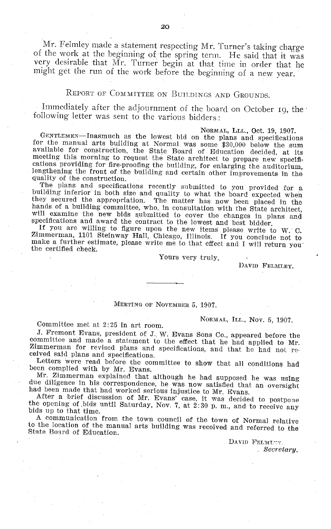Mr. Felmley made a statement respecting Mr. Turner's taking charge of the work at the beginning of the spring term. He said that it was very desirable that Mr. Turner begin at that time in order that he might get the run of the work before the beginning of a new year.

## REPORT OF COMMITTEE ON BUILDINGS AND GROUNDS.

Immediately after the adjournment of the board on October 19, the following letter was sent to the various bidders:

NORMAL, LLL., Oct. 19, 1907.<br>
for the manual arts building at Normal was some \$30,000 below the sum<br>
available for construction, the State Board of Education decided, at its<br>
meeting this morning to request the State archi

building inferior in both size and quality to what the board expected when<br>they secured the appropriation. The matter has now been placed in the<br>hands of a building committee, who, in consultation with the State architect,

Yours very truly,

DAVID FELMLEY.

## MEETING OF NOVEMBER 5, 1907.

NORMAL, ILL., Nov. 5, 1907.<br>
J. Fremont Evans, president of J. W. Evans Sons Co., appeared before the committee and made a statement to the effect that he had applied to Mr.<br>Zimmerman for revised plans and specifications, and that he had not received said plans and specifications.

Letters were read before the committee to show that all conditions had been complied with by Mr. Evans.<br>Mr. Zimmerman explained that although he had supposed he was using

due diligence in his correspondence, he was now satisfied that an oversight<br>had been made that had worked serious injustice to Mr. Evans.<br>After a brief discussion of Mr. Evans' case, it was decided to postpone<br>the opening

to the location of the manual arts building was received and referred to the State Board of Education.

DAVID FELMLTY. *Secretary.*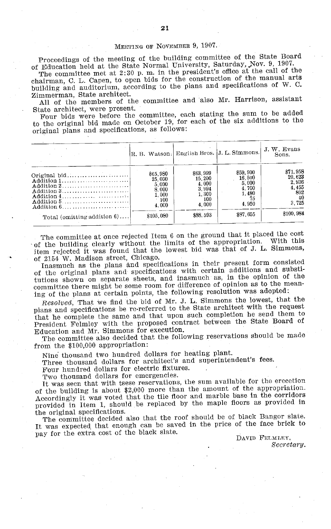## MEETING OF NOVEMBER 9, 1907.

Proceedings of the meeting of the building committee of the State Board of Education held at the State Normal University, Saturday, Nov. 9, 1907.

The committee met at 2:30 p. m. in the president's office at the call of the chairman, C. L. Capen, to open bids for the construction of the manual arts building and auditorium, according to the plans and specifications of W. C. Zimmerman, State architect.

All of the members of the committee and also Mr. Harrison, assistant State architect, were present.

Four bids were before the committee, each stating the sum to be added to the original bid made on October 19, for each of the six additions to the original plans and specifications, as follows:

|                                                      |           |          | R. B. Watson. English Bros. J. L. Simmons. | J. W. Evans<br>Sons. |
|------------------------------------------------------|-----------|----------|--------------------------------------------|----------------------|
|                                                      | \$65,980  | \$63,999 | \$59,900                                   | \$71,958             |
|                                                      | 25.000    | 15.200   | 16.500                                     | 20.623               |
| Addition 2                                           | 5.000     | 4.000    | 5,000                                      | 2.936                |
| Addition 3                                           | 8.000     | 3.994    | 4.700                                      | 4.455                |
| Addition $4, \ldots, \ldots, \ldots, \ldots, \ldots$ | 1.000     | 1,300    | 1.480                                      | 802                  |
|                                                      | 100       | 100      | 75                                         | 40                   |
| Addition $6, \ldots, \ldots, \ldots, \ldots, \ldots$ | 4.000     | 4.000    | 4.950                                      | 3.725                |
| Total (omitting addition $6$ )                       | \$105,080 | \$88,593 | \$87.655                                   | \$100.984            |

The committee at once rejected Item 6 on the ground that it placed the cost of the building clearly without the limits of the appropriation. With this item rejected it was found that the lowest bid was that of J. L. Simmons, of 2154 W. Madison street, Chicago.

Inasmuch as the plans and specifications in their present form consisted of the original plans and specifications with certain additions and substitutions shown on separate sheets, and inasmuch as, in the opinion of the committee there might be some room for difference of opinion as to the meaning of the plans at certain points, the following resolution was adopted:

*Resolved,* That we find the bid of Mr. J. L. Simmons the lowest, that the plans and specifications be re-referred to the State architect with the request that he complete the same and that upon such completion he send them to President Felmley with the proposed contract between the State Board of Education and Mr. Simmons for execution.

The committee also decided that the following reservations should be made from the \$100,000 appropriation:

Nine thousand two hundred dollars for heating plant.

Three thousand dollars for architect's and superintendent's fees.

Four hundred dollars for electric fixtures.

Two thousand dollars for emergencies.

It was seen that with tsese reservations, the sum available for the erecetion of the building is about \$2,000 more than the amount of the appropriation. Accordingly it was voted that the tile floor and marble base in the corridors provided in Item 1, should be replaced by the maple floors as provided in the original specifications.

The committee decided also that the roof should be of black Bangor slate. It was expected that enough can be saved in the price of the face brick to pay for the extra cost of the black slate.

DAVID FELMLEY, *Secretary.*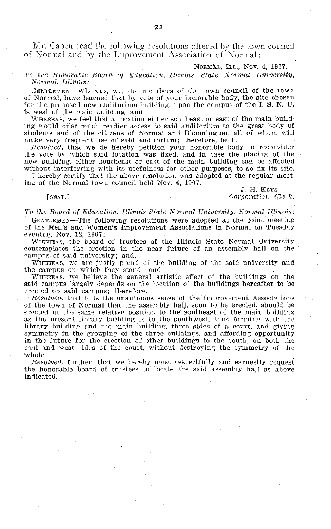Mr. Capen read the following resolutions offered by the town council of Normal and by the Improvement Association of Normal:

#### NORMAL, ILL., Nov. 4, 1907.

#### *To the Honorable Board of Education, Illinois State Normal University, Normal, Illinois:*

GENTLEMEN-Whereas, we, the members of the town council of the town of Normal, have learned that by vote of your honorable body, the site chosen for the proposed new auditorium building, upon the campus of the I. S. N. U. is west of the main building, and

WHEREAS, we feel that a location either southeast or east of the main building would offer much readier access to said auditorium to the great body of students and of the citizens of Normal and Bloomington, all of whom will make very frequent use of said auditorium; therefore, be it

*Resolved,* that we de hereby petition your honorable body to reconsider the vote by which said location was fixed, and in case the placing of the new building, either southeast or east of the main building can be affected without interferring with its usefulness for other purposes, to so fix its site.

I hereby certify that the above resolution was adopted at the regular meeting of the Normal town council held Nov. 4, 1907.

J. H. KEYS. [SEAL.] *Corporation Cle 7k.*

*To the Board of Education, Illinois State Normal University, Normal Illinois:*

GENTLEMEN-The following resolutions were adopted at the joint meeting of the Men's and Women's Improvement Associations in Normal on Tuesday evening, Nov. 12, 1907:

WHEREAS, the board of trustees of the Illinois State Normal University contemplates the erection in the near future of an assembly hall on the campus of said university; and,

WHEREAS, we are justly proud of the building of the said university and the campus on which they stand; and

WHEREAS, we believe the general artistic effect of the buildings on the said campus largely depends on the location of the buildings hereafter to be erected on said campus; therefore,

*Resolved,* that it is the unanimous sense of the Improvement Associations of the town of Normal that the assembly hall, soon to be erected, should be erected in the same relative position to the southeast of the main building as the present library building is to the southwest, thus forming with the library building and the main building, three sides of a court, and giving symmetry in the grouping of the three buildings, and affording opportunity in the future for the erection of other buildings to the south, on both the east and west sides of the court, without destroying the symmetry of the "Whole.

*Resolved,* further, that we hereby most respectfully and earnestly request the honorable board of trustees to locate the said assembly hall as above indicated.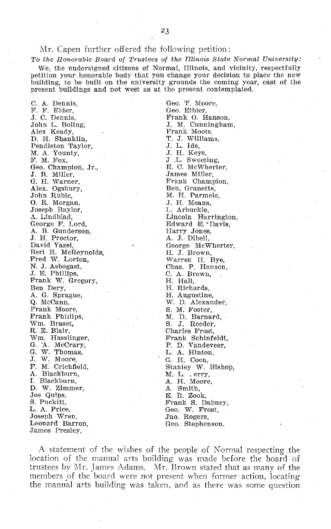### Mr. Capen further offered the following petition:

*To the Honorable Board of Trustees of the Illinois State Normal University:* We, the undersigned citizens of Normal, Illinois, and vicinity, respectfully petition your honorable body that you change your decision to place the new building, to be built on the university grounds the coming year, east of the present buildings and not west as at the present contemplated.

C. A. Dennis, F. F. Elder, J. C. Dennis, John L. Boling, Alex Keady, D. H. Shanklin, Pendleton Taylor, M. A. Younty, F. M. Fox, Geo. Champion, Jr., J. B. Miller, G. H. Warner, Alex. Ogsbury, John Ruble, O. R. Morgan, Joseph Baylor, A. Lindblad, George F. Lord, A. B. Gunderson, J. H. Proctor, David Yazel, Bert R. McReynolds, Fred W. Lorton, N. J. Asbogast, J. E. Phillips, Frank W. Gregory, Ben Dery, A. G. Sprague, Q. McCann, Frank Moore, Frank Phillips, Wm. Braset, R. E. Blair, Wm. Hasslinger, G. 'A. McCrary, G. W. Thomas, J. W. Moore, F. M. Crichfield, A. Blackburn, I. Blackburn, D. W. Zimmer, Joe Quips, S. Puckitt, L. A. Price, Joseph Wren, Leonard Barron, James Presley,

Geo. T. Moore, Geo. Eibler, Frank O. Hanson, J. M. Cunningham, Frank Moots, T. J. Williams, J. L. Ide, J. H. Keys, J .L. Sweeting, E. C. McWherter, James Miller, Frank Champion, Ben, Granette, M. H. Parmele, J. H. Means, L. Arbuckle, Lincoln Harrington, Edward E. \* Davis, Harry Jones, A. **J.-** Dibell, George McWherter, H. J. Brown, Warren H. Bye, Chas. P. Hanson, C. A. Brown, H. Hall, H. Richards, H. Augustine, W. D. Alexander, S. M. Foster, M. D. Barnard, S. J. Reeder, Charles Frost, Frank Schinfeldt, P. D. Vandeveer<br>L. A. Hinton, G. H. Coen, Stanley W. Bishop, M. L. \_ erry, A. H. Moore A. Smith, E. R. Zook, Frank S. Dabney, Geo. W. Frost, Jno. Rogers, Geo. Stephenson.

A statement of the wishes of the people of Normal respecting the location of the manual arts building was made before the board of trustees by Mr. James Adams. Mr. Brown stated that as many of the members of the board were not present when former action, locating the manual arts building was taken, and as there was some question